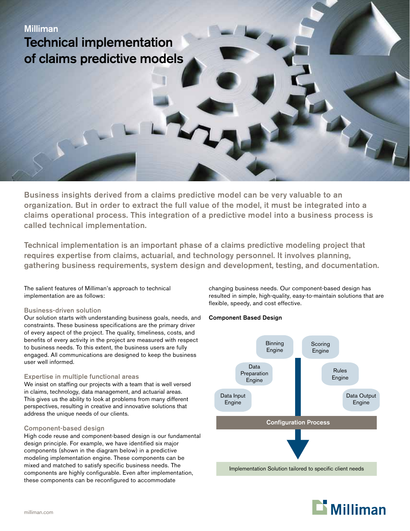Business insights derived from a claims predictive model can be very valuable to an organization. But in order to extract the full value of the model, it must be integrated into a claims operational process. This integration of a predictive model into a business process is called technical implementation.

Technical implementation is an important phase of a claims predictive modeling project that requires expertise from claims, actuarial, and technology personnel. It involves planning, gathering business requirements, system design and development, testing, and documentation.

The salient features of Milliman's approach to technical implementation are as follows:

## Business-driven solution

Our solution starts with understanding business goals, needs, and constraints. These business specifications are the primary driver of every aspect of the project. The quality, timeliness, costs, and benefits of every activity in the project are measured with respect to business needs. To this extent, the business users are fully engaged. All communications are designed to keep the business user well informed.

#### Expertise in multiple functional areas

We insist on staffing our projects with a team that is well versed in claims, technology, data management, and actuarial areas. This gives us the ability to look at problems from many different perspectives, resulting in creative and innovative solutions that address the unique needs of our clients.

#### Component-based design

High code reuse and component-based design is our fundamental design principle. For example, we have identified six major components (shown in the diagram below) in a predictive modeling implementation engine. These components can be mixed and matched to satisfy specific business needs. The components are highly configurable. Even after implementation, these components can be reconfigured to accommodate

changing business needs. Our component-based design has resulted in simple, high-quality, easy-to-maintain solutions that are flexible, speedy, and cost effective.

# Component Based Design



Implementation Solution tailored to specific client needs